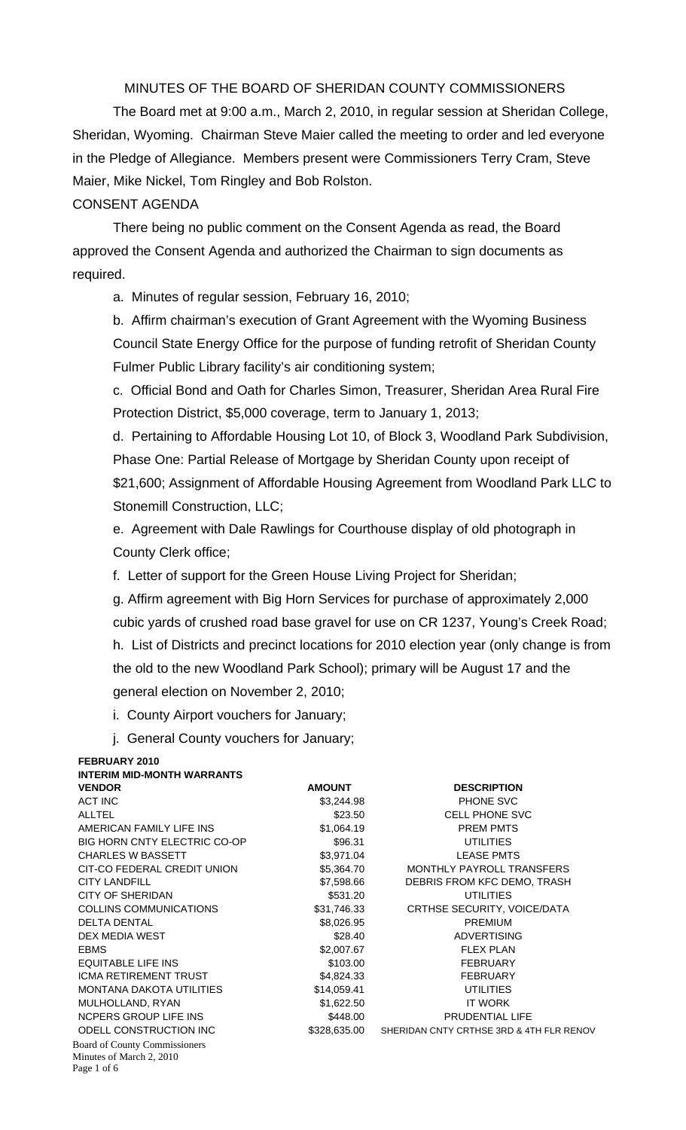## MINUTES OF THE BOARD OF SHERIDAN COUNTY COMMISSIONERS

 The Board met at 9:00 a.m., March 2, 2010, in regular session at Sheridan College, Sheridan, Wyoming. Chairman Steve Maier called the meeting to order and led everyone in the Pledge of Allegiance. Members present were Commissioners Terry Cram, Steve Maier, Mike Nickel, Tom Ringley and Bob Rolston.

## CONSENT AGENDA

There being no public comment on the Consent Agenda as read, the Board approved the Consent Agenda and authorized the Chairman to sign documents as required.

a. Minutes of regular session, February 16, 2010;

b. Affirm chairman's execution of Grant Agreement with the Wyoming Business Council State Energy Office for the purpose of funding retrofit of Sheridan County Fulmer Public Library facility's air conditioning system;

c. Official Bond and Oath for Charles Simon, Treasurer, Sheridan Area Rural Fire Protection District, \$5,000 coverage, term to January 1, 2013;

d. Pertaining to Affordable Housing Lot 10, of Block 3, Woodland Park Subdivision, Phase One: Partial Release of Mortgage by Sheridan County upon receipt of \$21,600; Assignment of Affordable Housing Agreement from Woodland Park LLC to Stonemill Construction, LLC;

e. Agreement with Dale Rawlings for Courthouse display of old photograph in County Clerk office;

f. Letter of support for the Green House Living Project for Sheridan;

g. Affirm agreement with Big Horn Services for purchase of approximately 2,000 cubic yards of crushed road base gravel for use on CR 1237, Young's Creek Road; h. List of Districts and precinct locations for 2010 election year (only change is from the old to the new Woodland Park School); primary will be August 17 and the general election on November 2, 2010;

i. County Airport vouchers for January;

j. General County vouchers for January;

| FEBRUARY 2010                       |               |                                          |
|-------------------------------------|---------------|------------------------------------------|
| <b>INTERIM MID-MONTH WARRANTS</b>   |               |                                          |
| <b>VENDOR</b>                       | <b>AMOUNT</b> | <b>DESCRIPTION</b>                       |
| <b>ACT INC</b>                      | \$3,244.98    | PHONE SVC                                |
| <b>ALLTEL</b>                       | \$23.50       | <b>CELL PHONE SVC</b>                    |
| AMERICAN FAMILY LIFE INS            | \$1,064.19    | <b>PREM PMTS</b>                         |
| <b>BIG HORN CNTY ELECTRIC CO-OP</b> | \$96.31       | <b>UTILITIES</b>                         |
| <b>CHARLES W BASSETT</b>            | \$3,971.04    | <b>LEASE PMTS</b>                        |
| CIT-CO FEDERAL CREDIT UNION         | \$5,364.70    | MONTHLY PAYROLL TRANSFERS                |
| <b>CITY LANDFILL</b>                | \$7,598.66    | DEBRIS FROM KFC DEMO, TRASH              |
| CITY OF SHERIDAN                    | \$531.20      | <b>UTILITIES</b>                         |
| <b>COLLINS COMMUNICATIONS</b>       | \$31,746.33   | CRTHSE SECURITY, VOICE/DATA              |
| <b>DELTA DENTAL</b>                 | \$8,026.95    | <b>PREMIUM</b>                           |
| DEX MEDIA WEST                      | \$28.40       | <b>ADVERTISING</b>                       |
| <b>EBMS</b>                         | \$2,007.67    | <b>FLEX PLAN</b>                         |
| <b>EQUITABLE LIFE INS</b>           | \$103.00      | <b>FEBRUARY</b>                          |
| <b>ICMA RETIREMENT TRUST</b>        | \$4,824.33    | <b>FEBRUARY</b>                          |
| <b>MONTANA DAKOTA UTILITIES</b>     | \$14,059.41   | <b>UTILITIES</b>                         |
| MULHOLLAND, RYAN                    | \$1,622.50    | <b>IT WORK</b>                           |
| NCPERS GROUP LIFE INS               | \$448.00      | PRUDENTIAL LIFE                          |
| ODELL CONSTRUCTION INC              | \$328,635.00  | SHERIDAN CNTY CRTHSE 3RD & 4TH FLR RENOV |
| Board of County Commissioners       |               |                                          |
| Minutes of March 2, 2010            |               |                                          |
| Page 1 of 6                         |               |                                          |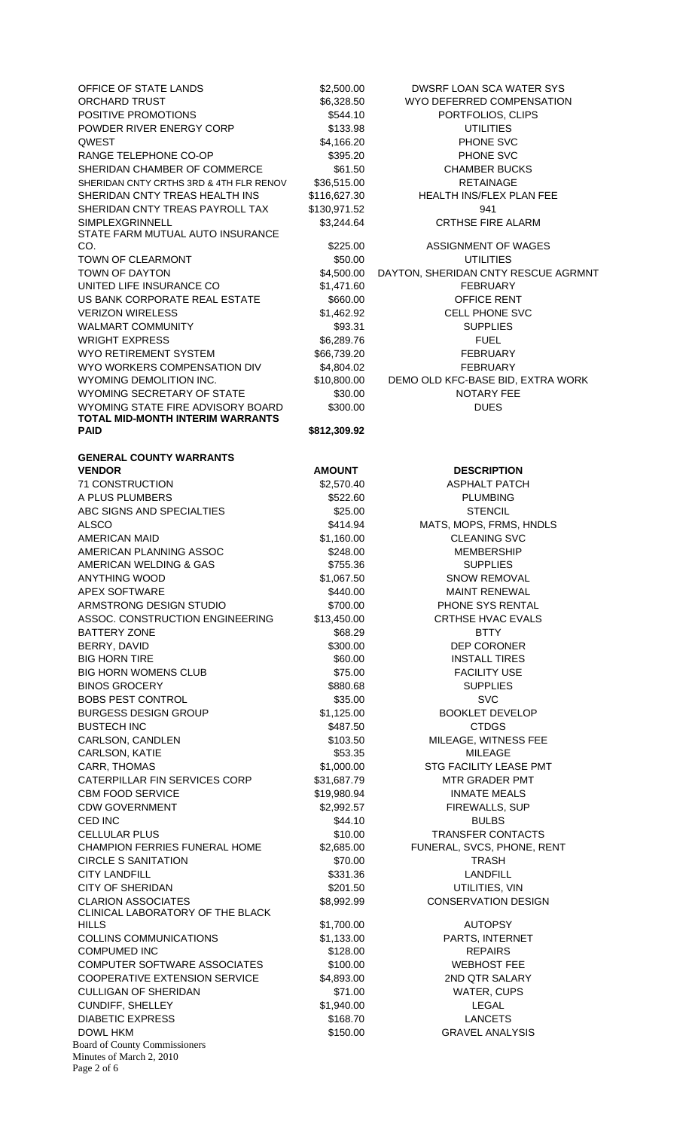Board of County Commissioners Minutes of March 2, 2010 Page 2 of 6 OFFICE OF STATE LANDS \$2,500.00 DWSRF LOAN SCA WATER SYS ORCHARD TRUST **\$6,328.50** WYO DEFERRED COMPENSATION POSITIVE PROMOTIONS 6544.10 PORTFOLIOS, CLIPS POWDER RIVER ENERGY CORP \$133.98 UTILITIES QWEST \$4,166.20 PHONE SVC RANGE TELEPHONE CO-OP 6395.20 PHONE SVC SHERIDAN CHAMBER OF COMMERCE \$61.50 CHAMBER BUCKS SHERIDAN CNTY CRTHS 3RD & 4TH FLR RENOV \$36,515.00 RETAINAGE SHERIDAN CNTY TREAS HEALTH INS \$116,627.30 HEALTH INS/FLEX PLAN FEE SHERIDAN CNTY TREAS PAYROLL TAX \$130,971.52 941 SIMPLEXGRINNELL \$3,244.64 CRTHSE FIRE ALARM STATE FARM MUTUAL AUTO INSURANCE CO. **1225.00 CO. 3225.00 ASSIGNMENT OF WAGES** TOWN OF CLEARMONT **12000 CLEARMONT** 650.00 **S50.00** UTILITIES TOWN OF DAYTON 64,500.00 DAYTON, SHERIDAN CNTY RESCUE AGRMNT UNITED LIFE INSURANCE CO 61.471.60 S1.471.60 FEBRUARY US BANK CORPORATE REAL ESTATE \$660.00 OFFICE RENT VERIZON WIRELESS  $$1,462.92$  CELL PHONE SVC WALMART COMMUNITY THE SERVICE SERVICE SOLUTION SOFT SUPPLIES WRIGHT EXPRESS  $$6,289.76$  FUEL WYO RETIREMENT SYSTEM  $$66,739.20$  FEBRUARY WYO WORKERS COMPENSATION DIV \$4,804.02 FEBRUARY WYOMING DEMOLITION INC.  $$10,800.00$  DEMO OLD KFC-BASE BID, EXTRA WORK WYOMING SECRETARY OF STATE \$30.00 SOON NOTARY FEE WYOMING STATE FIRE ADVISORY BOARD \$300.00 DUES **TOTAL MID-MONTH INTERIM WARRANTS PAID** \$812,309.92 **GENERAL COUNTY WARRANTS VENDOR CONSUMING AMOUNT AMOUNT DESCRIPTION** 71 CONSTRUCTION \$2,570.40 ASPHALT PATCH A PLUS PLUMBERS THE SECTION SECTION ASSESSED. THE SECTION OF A PLUMBING ABC SIGNS AND SPECIALTIES \$25.00 \$25.00 STENCIL ALSCO \$414.94 MATS, MOPS, FRMS, HNDLS AMERICAN MAID **\$1,160.00** S1,160.00 CLEANING SVC AMERICAN PLANNING ASSOC \$248.00 MEMBERSHIP AMERICAN WELDING & GAS **\$755.36** SUPPLIES ANYTHING WOOD **\$1,067.50** SNOW REMOVAL APEX SOFTWARE **\$440.00** \$440.00 MAINT RENEWAL ARMSTRONG DESIGN STUDIO  $$700.00$  PHONE SYS RENTAL ASSOC. CONSTRUCTION ENGINEERING \$13,450.00 CRTHSE HVAC EVALS BATTERY ZONE **BATTERY ZONE BELLEVING SEALLY SEARCH SERVICE SERVICE SERVICE SERVICE SERVICE SERVICE SERVICE SERVICE SERVICE SERVICE SERVICE SERVICE SERVICE SERVICE SERVICE SERVICE SERVICE SERVICE SERVICE SERVICE SERVICE S** BERRY, DAVID **\$300.00** \$300.00 DEP CORONER BIG HORN TIRE **1990 CONTROLL SECTION CONTROLL TIGGET A** \$60.00 INSTALL TIRES BIG HORN WOMENS CLUB **\$75.00** \$75.00 FACILITY USE BINOS GROCERY **\$880.68** SUPPLIES BOBS PEST CONTROL SALE AND STATE STATES AND STATE STATES AND SALE STATES AND STATES AND STATES AND STATES AND STATES AND STATES AND STATES AND STATES AND STATES AND STATES AND STATES AND STATES AND STATES AND STATES AND ST BURGESS DESIGN GROUP \$1,125.00 BOOKLET DEVELOP BUSTECH INC **6487.50** SA87.50 CTDGS CARLSON, CANDLEN \$103.50 MILEAGE, WITNESS FEE CARLSON, KATIE \$53.35 MILEAGE CARR, THOMAS **81,000.00** STG FACILITY LEASE PMT CATERPILLAR FIN SERVICES CORP \$31,687.79 MTR GRADER PMT CBM FOOD SERVICE  $$19,980.94$  INMATE MEALS CDW GOVERNMENT **\$2,992.57** FIREWALLS, SUP CED INC **EXAMPLE 20** S44.10 **S44.10** BULBS CELLULAR PLUS \$10.00 TRANSFER CONTACTS CHAMPION FERRIES FUNERAL HOME \$2,685.00 FUNERAL, SVCS, PHONE, RENT CIRCLE S SANITATION \$70.00 TRASH CITY LANDFILL **Example 2018** 12:331.36 LANDFILL CITY OF SHERIDAN 6201.50 CITY OF SHERIDAN 6201.50 CLARION ASSOCIATES  $$8,992.99$  CONSERVATION DESIGN CLINICAL LABORATORY OF THE BLACK HILLS \$1,700.00 AUTOPSY COLLINS COMMUNICATIONS \$1,133.00 PARTS, INTERNET COMPUMED INC 6128.00 States and the States of the States of the States of the States of the States of the States of the States of the States of the States of the States of the States of the States of the States of the Stat COMPUTER SOFTWARE ASSOCIATES  $$100.00$  WEBHOST FEE COOPERATIVE EXTENSION SERVICE \$4,893.00 2ND QTR SALARY CULLIGAN OF SHERIDAN \$71.00 WATER, CUPS CUNDIFF, SHELLEY \$1,940.00 LEGAL DIABETIC EXPRESS \$168.70 LANCETS DOWL HKM 6000 GRAVEL ANALYSIS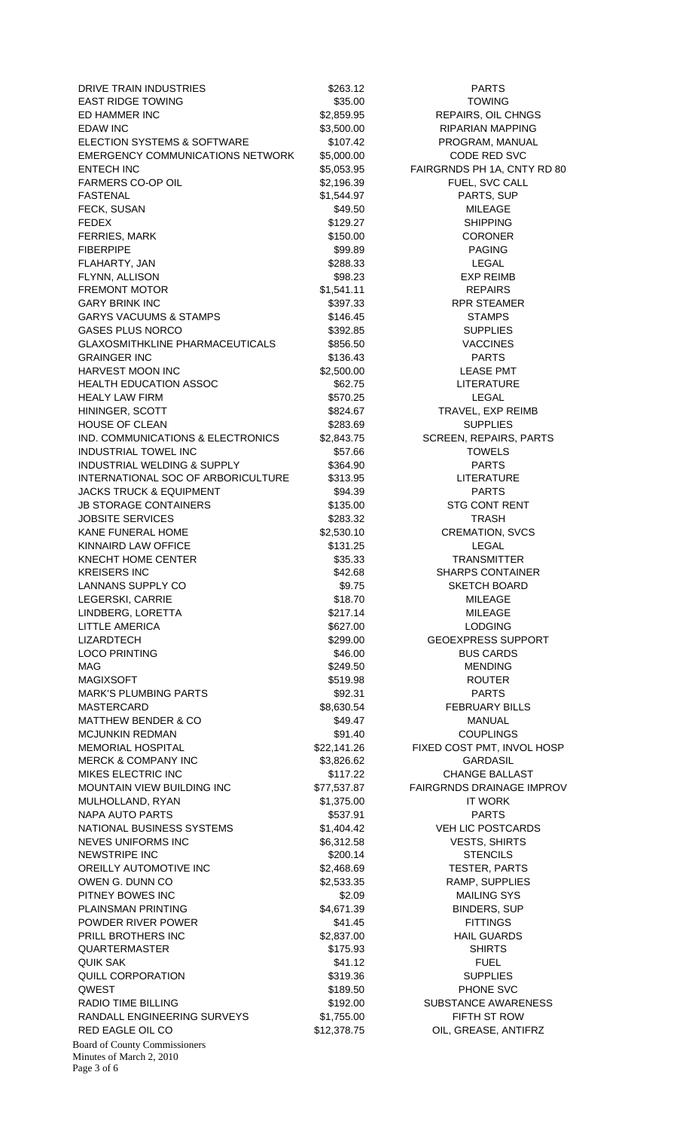Board of County Commissioners Minutes of March 2, 2010 Page 3 of 6 DRIVE TRAIN INDUSTRIES \$263.12 PARTS EAST RIDGE TOWING **EAST RIDGE TOWING \$35.00** \$35.00 TOWING ED HAMMER INC **1990 CONTROL** \$2,859.95 **REPAIRS, OIL CHNGS** EDAW INC **EDAW INC** \$3,500.00 RIPARIAN MAPPING ELECTION SYSTEMS & SOFTWARE \$107.42 PROGRAM, MANUAL EMERGENCY COMMUNICATIONS NETWORK \$5,000.00 CODE RED SVC ENTECH INC 600 EXAMPLE 100 S5,053.95 FAIRGRNDS PH 1A, CNTY RD 80 FARMERS CO-OP OIL **\$2,196.39** FUEL, SVC CALL FASTENAL \$1,544.97 PARTS, SUP FECK, SUSAN \$49.50 MILEAGE FEDEX \$129.27 SHIPPING FERRIES, MARK \$150.00 CORONER FIBERPIPE 599.89 PAGING FLAHARTY, JAN \$288.33 LEGAL FLYNN, ALLISON \$98.23 EXP REIMB FREMONT MOTOR **61,541.11 EXERGINE REPAIRS** GARY BRINK INC **Example 2018** S397.33 RPR STEAMER GARYS VACUUMS & STAMPS  $$146.45$   $$146.45$  STAMPS GASES PLUS NORCO \$392.85 SUPPLIES GLAXOSMITHKLINE PHARMACEUTICALS \$856.50 S856.50 GRAINGER INC **6136.43** PARTS HARVEST MOON INC **\$2,500.00** S2,500.00 LEASE PMT HEALTH EDUCATION ASSOC  $$62.75$  LITERATURE HEALY LAW FIRM **1999 CONTROL** 2570.25 **LEGAL** HININGER, SCOTT **\$824.67** TRAVEL, EXP REIMB HOUSE OF CLEAN **\$283.69** SUPPLIES IND. COMMUNICATIONS & ELECTRONICS \$2,843.75 SCREEN, REPAIRS, PARTS INDUSTRIAL TOWEL INC \$57.66 TOWELS INDUSTRIAL WELDING & SUPPLY \$364.90 PARTS INTERNATIONAL SOC OF ARBORICULTURE \$313.95 LITERATURE JACKS TRUCK & EQUIPMENT \$94.39 PARTS JB STORAGE CONTAINERS  $$135.00$  STG CONT RENT JOBSITE SERVICES \$283.32 TRASH KANE FUNERAL HOME  $$2,530.10$  CREMATION, SVCS KINNAIRD LAW OFFICE **\$131.25** State Strawback Strawback Strawback Strawback Strawback Strawback Strawback Strawback KNECHT HOME CENTER **S35.33** TRANSMITTER KREISERS INC \$42.68 SHARPS CONTAINER LANNANS SUPPLY CO **\$9.75** SKETCH BOARD LEGERSKI, CARRIE \$18.70 MILEAGE LINDBERG, LORETTA \$217.14 MILEAGE LITTLE AMERICA **1999 12:20 SECONDENT STATE AMERICA** \$627.00 **LODGING** LIZARDTECH  $$299.00$  GEOEXPRESS SUPPORT LOCO PRINTING **\$46.00 BUS CARDS** MAG \$249.50 MENDING MAGIXSOFT \$519.98 ROUTER MARK'S PLUMBING PARTS **\$92.31** \$92.31 PARTS MASTERCARD \$8,630.54 FEBRUARY BILLS MATTHEW BENDER & CO **\$49.47** MANUAL MCJUNKIN REDMAN  $$91.40$  COUPLINGS MEMORIAL HOSPITAL \$22,141.26 FIXED COST PMT, INVOL HOSP MERCK & COMPANY INC  $$3,826.62$  GARDASIL MIKES ELECTRIC INC **1990 CHANGE BALLAST** \$117.22 CHANGE BALLAST MOUNTAIN VIEW BUILDING INC \$77,537.87 FAIRGRNDS DRAINAGE IMPROV MULHOLLAND, RYAN \$1,375.00 IT WORK NAPA AUTO PARTS **1992 12:20 12:20 12:20 12:20 12:20 12:20 13:20 13:20 14:20 14:20 14:20 14:20 14:20 14:20 14:20** NATIONAL BUSINESS SYSTEMS  $$1,404.42$  VEH LIC POSTCARDS NEVES UNIFORMS INC  $$6,312.58$  VESTS, SHIRTS NEWSTRIPE INC \$200.14 STENCILS OREILLY AUTOMOTIVE INC **S2.468.69**S2.468.69
TESTER, PARTS OWEN G. DUNN CO  $$2,533.35$  RAMP, SUPPLIES PITNEY BOWES INC **\$2.09** MAILING SYS PLAINSMAN PRINTING **1990 BINDERS, SUP 1991.** S4,671.39 BINDERS, SUP POWDER RIVER POWER **EXAMPLE 2018 1241.45** S41.45 FITTINGS PRILL BROTHERS INC **\$2,837.00** \$2,837.00 HAIL GUARDS QUARTERMASTER \$175.93 SHIRTS QUIK SAK \$41.12 FUEL QUILL CORPORATION 6319.36 SUPPLIES QWEST \$189.50 PHONE SVC RADIO TIME BILLING **\$192.00** \$192.00 SUBSTANCE AWARENESS RANDALL ENGINEERING SURVEYS  $$1,755.00$  FIFTH ST ROW RED EAGLE OIL CO **\$12,378.75** OIL, GREASE, ANTIFRZ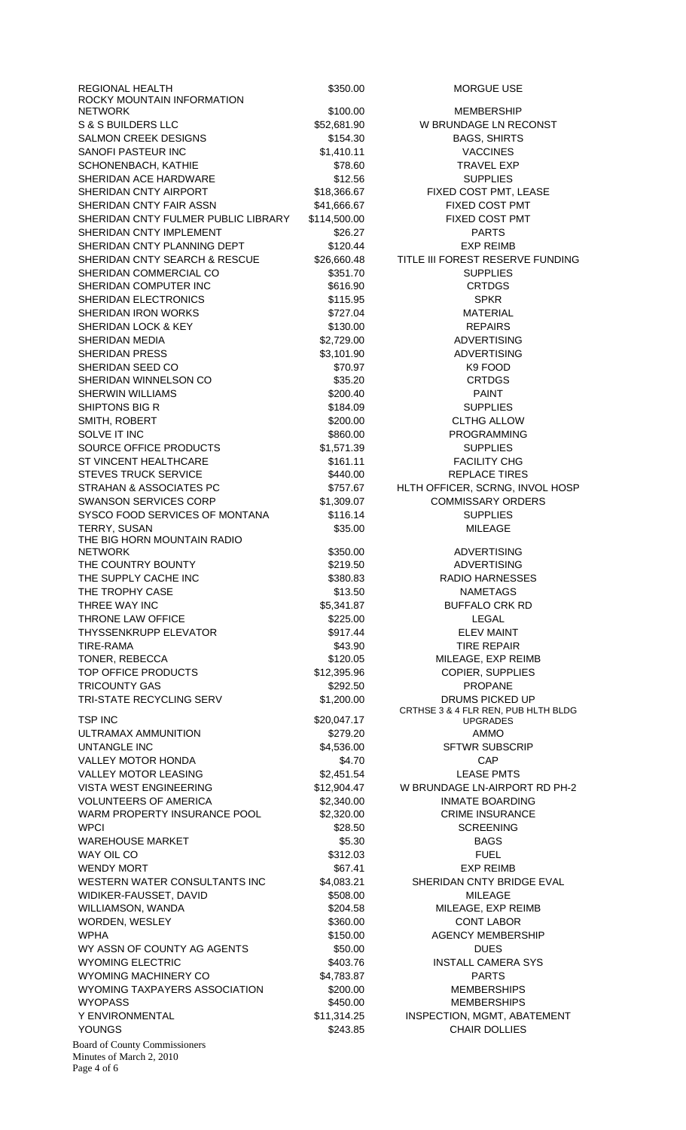| REGIONAL HEALTH                                                                 | \$350.00              | <b>MORGUE US</b>                      |
|---------------------------------------------------------------------------------|-----------------------|---------------------------------------|
| ROCKY MOUNTAIN INFORMATION<br><b>NETWORK</b>                                    | \$100.00              | <b>MEMBERSH</b>                       |
| <b>S &amp; S BUILDERS LLC</b>                                                   | \$52,681.90           | W BRUNDAGE LN R                       |
| <b>SALMON CREEK DESIGNS</b>                                                     | \$154.30              | <b>BAGS, SHIRT</b>                    |
| SANOFI PASTEUR INC                                                              | \$1,410.11            | <b>VACCINES</b>                       |
| SCHONENBACH, KATHIE                                                             | \$78.60               | <b>TRAVEL EX</b>                      |
| SHERIDAN ACE HARDWARE                                                           | \$12.56               | <b>SUPPLIES</b>                       |
| SHERIDAN CNTY AIRPORT                                                           | \$18,366.67           | FIXED COST PMT.                       |
| SHERIDAN CNTY FAIR ASSN                                                         | \$41,666.67           | FIXED COST F                          |
| SHERIDAN CNTY FULMER PUBLIC LIBRARY                                             | \$114,500.00          | FIXED COST F                          |
| SHERIDAN CNTY IMPLEMENT                                                         | \$26.27               | <b>PARTS</b>                          |
| SHERIDAN CNTY PLANNING DEPT                                                     | \$120.44              | <b>EXP REIME</b>                      |
| SHERIDAN CNTY SEARCH & RESCUE                                                   | \$26,660.48           | <b>TITLE III FOREST RESER</b>         |
| SHERIDAN COMMERCIAL CO                                                          | \$351.70              | <b>SUPPLIES</b>                       |
| SHERIDAN COMPUTER INC                                                           | \$616.90              | <b>CRTDGS</b>                         |
| SHERIDAN ELECTRONICS                                                            | \$115.95              | <b>SPKR</b>                           |
| SHERIDAN IRON WORKS                                                             | \$727.04              | <b>MATERIAL</b>                       |
| SHERIDAN LOCK & KEY                                                             | \$130.00              | <b>REPAIRS</b>                        |
| SHERIDAN MEDIA                                                                  | \$2,729.00            | <b>ADVERTISIN</b>                     |
| <b>SHERIDAN PRESS</b>                                                           | \$3,101.90            | <b>ADVERTISIN</b>                     |
| SHERIDAN SEED CO                                                                | \$70.97               | K9 FOOD                               |
| SHERIDAN WINNELSON CO<br><b>SHERWIN WILLIAMS</b>                                | \$35.20<br>\$200.40   | <b>CRTDGS</b><br><b>PAINT</b>         |
| SHIPTONS BIG R                                                                  | \$184.09              | <b>SUPPLIES</b>                       |
| SMITH, ROBERT                                                                   | \$200.00              | <b>CLTHG ALLC</b>                     |
| SOLVE IT INC                                                                    | \$860.00              | <b>PROGRAMMI</b>                      |
| SOURCE OFFICE PRODUCTS                                                          | \$1,571.39            | <b>SUPPLIES</b>                       |
| ST VINCENT HEALTHCARE                                                           | \$161.11              | <b>FACILITY CH</b>                    |
| <b>STEVES TRUCK SERVICE</b>                                                     | \$440.00              | <b>REPLACE TIR</b>                    |
| STRAHAN & ASSOCIATES PC                                                         | \$757.67              | HLTH OFFICER, SCRNG                   |
| <b>SWANSON SERVICES CORP</b>                                                    | \$1,309.07            | <b>COMMISSARY OF</b>                  |
| SYSCO FOOD SERVICES OF MONTANA                                                  | \$116.14              | <b>SUPPLIES</b>                       |
| TERRY, SUSAN                                                                    | \$35.00               | <b>MILEAGE</b>                        |
| THE BIG HORN MOUNTAIN RADIO                                                     |                       |                                       |
| <b>NETWORK</b>                                                                  | \$350.00              | <b>ADVERTISIN</b>                     |
| THE COUNTRY BOUNTY                                                              | \$219.50              | <b>ADVERTISIN</b>                     |
| THE SUPPLY CACHE INC                                                            | \$380.83              | <b>RADIO HARNES</b>                   |
| THE TROPHY CASE                                                                 | \$13.50               | <b>NAMETAGS</b>                       |
| THREE WAY INC                                                                   | \$5,341.87            | <b>BUFFALO CRK</b>                    |
| THRONE LAW OFFICE                                                               | \$225.00              | LEGAL                                 |
| <b>THYSSENKRUPP ELEVATOR</b><br><b>TIRE-RAMA</b>                                | \$917.44<br>\$43.90   | <b>ELEV MAIN</b><br><b>TIRE REPAI</b> |
| TONER, REBECCA                                                                  | \$120.05              | MILEAGE, EXP F                        |
| TOP OFFICE PRODUCTS                                                             | \$12,395.96           | COPIER, SUPP                          |
| <b>TRICOUNTY GAS</b>                                                            | \$292.50              | <b>PROPANE</b>                        |
| TRI-STATE RECYCLING SERV                                                        | \$1,200.00            | <b>DRUMS PICKEI</b>                   |
|                                                                                 |                       | CRTHSE 3 & 4 FLR REN, PI              |
| <b>TSP INC</b>                                                                  | \$20,047.17           | <b>UPGRADES</b>                       |
| ULTRAMAX AMMUNITION                                                             | \$279.20              | AMMO                                  |
| <b>UNTANGLE INC</b>                                                             | \$4,536.00            | <b>SFTWR SUBSO</b>                    |
| VALLEY MOTOR HONDA                                                              | \$4.70                | <b>CAP</b>                            |
| <b>VALLEY MOTOR LEASING</b>                                                     | \$2,451.54            | <b>LEASE PMT</b>                      |
| <b>VISTA WEST ENGINEERING</b>                                                   | \$12,904.47           | W BRUNDAGE LN-AIRP                    |
| <b>VOLUNTEERS OF AMERICA</b>                                                    | \$2,340.00            | <b>INMATE BOARD</b>                   |
| WARM PROPERTY INSURANCE POOL<br><b>WPCI</b>                                     | \$2,320.00<br>\$28.50 | <b>CRIME INSURA</b>                   |
| <b>WAREHOUSE MARKET</b>                                                         | \$5.30                | <b>SCREENING</b><br><b>BAGS</b>       |
| WAY OIL CO                                                                      | \$312.03              | <b>FUEL</b>                           |
| <b>WENDY MORT</b>                                                               | \$67.41               | <b>EXP REIME</b>                      |
| WESTERN WATER CONSULTANTS INC                                                   | \$4,083.21            | SHERIDAN CNTY BRI                     |
| WIDIKER-FAUSSET, DAVID                                                          | \$508.00              | <b>MILEAGE</b>                        |
| WILLIAMSON, WANDA                                                               | \$204.58              | MILEAGE, EXP F                        |
| WORDEN, WESLEY                                                                  | \$360.00              | <b>CONT LABO</b>                      |
| <b>WPHA</b>                                                                     | \$150.00              | <b>AGENCY MEMBE</b>                   |
| WY ASSN OF COUNTY AG AGENTS                                                     | \$50.00               | <b>DUES</b>                           |
| <b>WYOMING ELECTRIC</b>                                                         | \$403.76              | <b>INSTALL CAMER</b>                  |
| WYOMING MACHINERY CO                                                            | \$4,783.87            | <b>PARTS</b>                          |
| WYOMING TAXPAYERS ASSOCIATION                                                   | \$200.00              | <b>MEMBERSHI</b>                      |
| <b>WYOPASS</b>                                                                  | \$450.00              | <b>MEMBERSHI</b>                      |
| Y ENVIRONMENTAL                                                                 | \$11,314.25           | INSPECTION, MGMT, A                   |
| <b>YOUNGS</b>                                                                   | \$243.85              | <b>CHAIR DOLLI</b>                    |
| <b>Board of County Commissioners</b><br>Minutes of March 2, 2010<br>Page 4 of 6 |                       |                                       |

\$350.00 MORGUE USE \$100.00 MEMBERSHIP 2,681.90 W BRUNDAGE LN RECONST \$154.30 BAGS, SHIRTS<br>1,410.11 VACCINES **VACCINES** \$78.60 TRAVEL EXP \$12.56 SUPPLIES 8,366.67 FIXED COST PMT, LEASE 1,666.67 FIXED COST PMT 4,500.00 FIXED COST PMT \$120.44 EXP REIMB 6,660.48 TITLE III FOREST RESERVE FUNDING \$351.70 SUPPLIES \$616.90 CRTDGS \$727.04 MATERIAL \$130.00 REPAIRS 2.729.00 ADVERTISING 3,101.90 ADVERTISING \$35.20 CRTDGS \$184.09 SUPPLIES \$200.00 CLTHG ALLOW \$860.00 PROGRAMMING 1,571.39 SUPPLIES \$161.11 FACILITY CHG \$440.00 REPLACE TIRES \$757.67 HLTH OFFICER, SCRNG, INVOL HOSP 1,309.07 COMMISSARY ORDERS \$116.14 SUPPLIES \$350.00 ADVERTISING \$219.50 ADVERTISING \$380.83 RADIO HARNESSES \$13.50 NAMETAGS 5,341.87 BUFFALO CRK RD \$917.44 **ELEV MAINT**  $$43.90$  TIRE REPAIR \$120.05 MILEAGE, EXP REIMB 2,395.96 COPIER, SUPPLIES \$292.50 PROPANE 1,200.00 DRUMS PICKED UP CRTHSE 3 & 4 FLR REN, PUB HLTH BLDG UPGRADES 4,536.00 SFTWR SUBSCRIP 2,451.54 LEASE PMTS 2,904.47 W BRUNDAGE LN-AIRPORT RD PH-2 2,340.00 INMATE BOARDING 2,320.00 CRIME INSURANCE \$28.50 SCREENING \$67.41 EXP REIMB 4,083.21 SHERIDAN CNTY BRIDGE EVAL \$204.58 MILEAGE, EXP REIMB \$360.00 CONT LABOR \$150.00 AGENCY MEMBERSHIP \$403.76 INSTALL CAMERA SYS \$200.00 MEMBERSHIPS \$450.00 MEMBERSHIPS 1,314.25 INSPECTION, MGMT, ABATEMENT \$243.85 CHAIR DOLLIES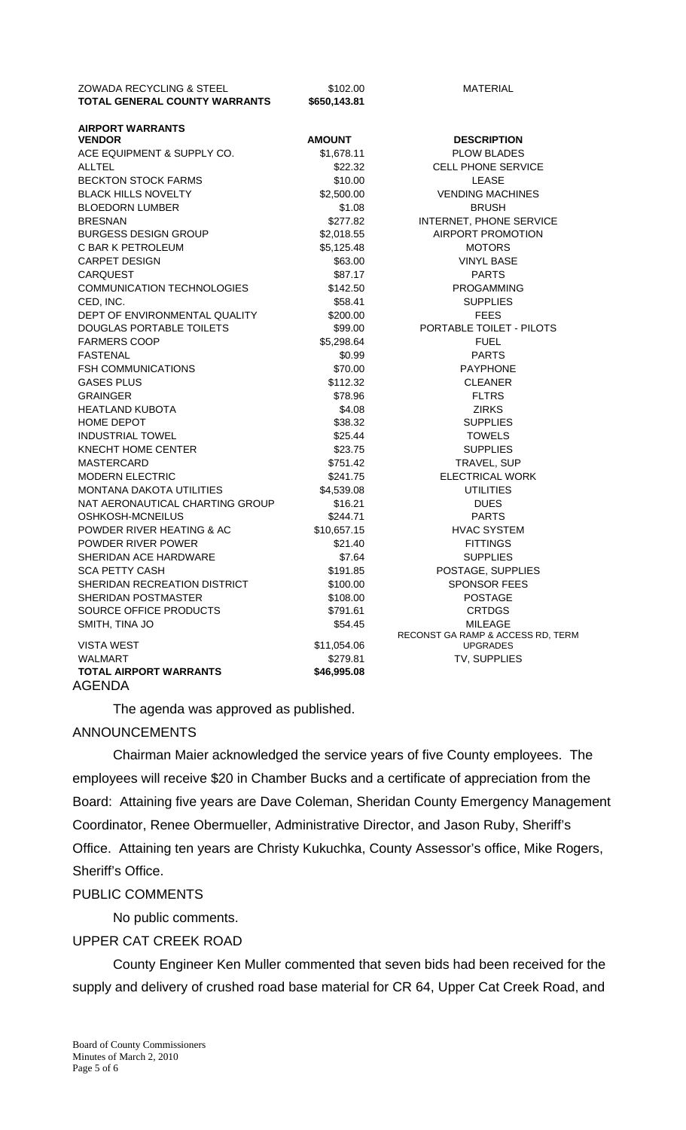| <b>ZOWADA RECYCLING &amp; STEEL</b>  | \$102.00      | <b>MATERIAL</b>                                      |
|--------------------------------------|---------------|------------------------------------------------------|
| <b>TOTAL GENERAL COUNTY WARRANTS</b> | \$650,143.81  |                                                      |
| <b>AIRPORT WARRANTS</b>              |               |                                                      |
| <b>VENDOR</b>                        | <b>AMOUNT</b> | <b>DESCRIPTION</b>                                   |
| ACE EQUIPMENT & SUPPLY CO.           | \$1,678.11    | <b>PLOW BLADES</b>                                   |
| <b>ALLTEL</b>                        | \$22.32       | <b>CELL PHONE SERVICE</b>                            |
| <b>BECKTON STOCK FARMS</b>           | \$10.00       | LEASE                                                |
| <b>BLACK HILLS NOVELTY</b>           | \$2,500.00    | <b>VENDING MACHINES</b>                              |
| <b>BLOEDORN LUMBER</b>               | \$1.08        | <b>BRUSH</b>                                         |
| <b>BRESNAN</b>                       | \$277.82      | INTERNET, PHONE SERVICE                              |
| <b>BURGESS DESIGN GROUP</b>          | \$2,018.55    | AIRPORT PROMOTION                                    |
| C BAR K PETROLEUM                    | \$5,125.48    | <b>MOTORS</b>                                        |
| <b>CARPET DESIGN</b>                 | \$63.00       | <b>VINYL BASE</b>                                    |
| <b>CARQUEST</b>                      | \$87.17       | <b>PARTS</b>                                         |
| <b>COMMUNICATION TECHNOLOGIES</b>    | \$142.50      | <b>PROGAMMING</b>                                    |
| CED, INC.                            | \$58.41       | <b>SUPPLIES</b>                                      |
| DEPT OF ENVIRONMENTAL QUALITY        | \$200.00      | <b>FEES</b>                                          |
| DOUGLAS PORTABLE TOILETS             | \$99.00       | PORTABLE TOILET - PILOTS                             |
| <b>FARMERS COOP</b>                  | \$5,298.64    | <b>FUEL</b>                                          |
| <b>FASTENAL</b>                      | \$0.99        | <b>PARTS</b>                                         |
| <b>FSH COMMUNICATIONS</b>            | \$70.00       | <b>PAYPHONE</b>                                      |
| <b>GASES PLUS</b>                    | \$112.32      | <b>CLEANER</b>                                       |
| <b>GRAINGER</b>                      | \$78.96       | <b>FLTRS</b>                                         |
| <b>HEATLAND KUBOTA</b>               | \$4.08        | <b>ZIRKS</b>                                         |
| <b>HOME DEPOT</b>                    | \$38.32       | <b>SUPPLIES</b>                                      |
| <b>INDUSTRIAL TOWEL</b>              | \$25.44       | <b>TOWELS</b>                                        |
| KNECHT HOME CENTER                   | \$23.75       | <b>SUPPLIES</b>                                      |
| <b>MASTERCARD</b>                    | \$751.42      | TRAVEL, SUP                                          |
| <b>MODERN ELECTRIC</b>               | \$241.75      | <b>ELECTRICAL WORK</b>                               |
| <b>MONTANA DAKOTA UTILITIES</b>      | \$4,539.08    | <b>UTILITIES</b>                                     |
| NAT AERONAUTICAL CHARTING GROUP      | \$16.21       | <b>DUES</b>                                          |
| OSHKOSH-MCNEILUS                     | \$244.71      | <b>PARTS</b>                                         |
| POWDER RIVER HEATING & AC            | \$10,657.15   | <b>HVAC SYSTEM</b>                                   |
| POWDER RIVER POWER                   | \$21.40       | <b>FITTINGS</b>                                      |
| SHERIDAN ACE HARDWARE                | \$7.64        | <b>SUPPLIES</b>                                      |
| <b>SCA PETTY CASH</b>                | \$191.85      | POSTAGE, SUPPLIES                                    |
| SHERIDAN RECREATION DISTRICT         | \$100.00      | <b>SPONSOR FEES</b>                                  |
| SHERIDAN POSTMASTER                  | \$108.00      | <b>POSTAGE</b>                                       |
| SOURCE OFFICE PRODUCTS               | \$791.61      | <b>CRTDGS</b>                                        |
| SMITH, TINA JO                       | \$54.45       | <b>MILEAGE</b>                                       |
| <b>VISTA WEST</b>                    | \$11,054.06   | RECONST GA RAMP & ACCESS RD, TERM<br><b>UPGRADES</b> |
| <b>WALMART</b>                       | \$279.81      | TV, SUPPLIES                                         |
| <b>TOTAL AIRPORT WARRANTS</b>        | \$46,995.08   |                                                      |
|                                      |               |                                                      |

AGENDA

The agenda was approved as published.

# ANNOUNCEMENTS

 Chairman Maier acknowledged the service years of five County employees. The employees will receive \$20 in Chamber Bucks and a certificate of appreciation from the Board: Attaining five years are Dave Coleman, Sheridan County Emergency Management Coordinator, Renee Obermueller, Administrative Director, and Jason Ruby, Sheriff's Office. Attaining ten years are Christy Kukuchka, County Assessor's office, Mike Rogers, Sheriff's Office.

#### PUBLIC COMMENTS

No public comments.

## UPPER CAT CREEK ROAD

 County Engineer Ken Muller commented that seven bids had been received for the supply and delivery of crushed road base material for CR 64, Upper Cat Creek Road, and